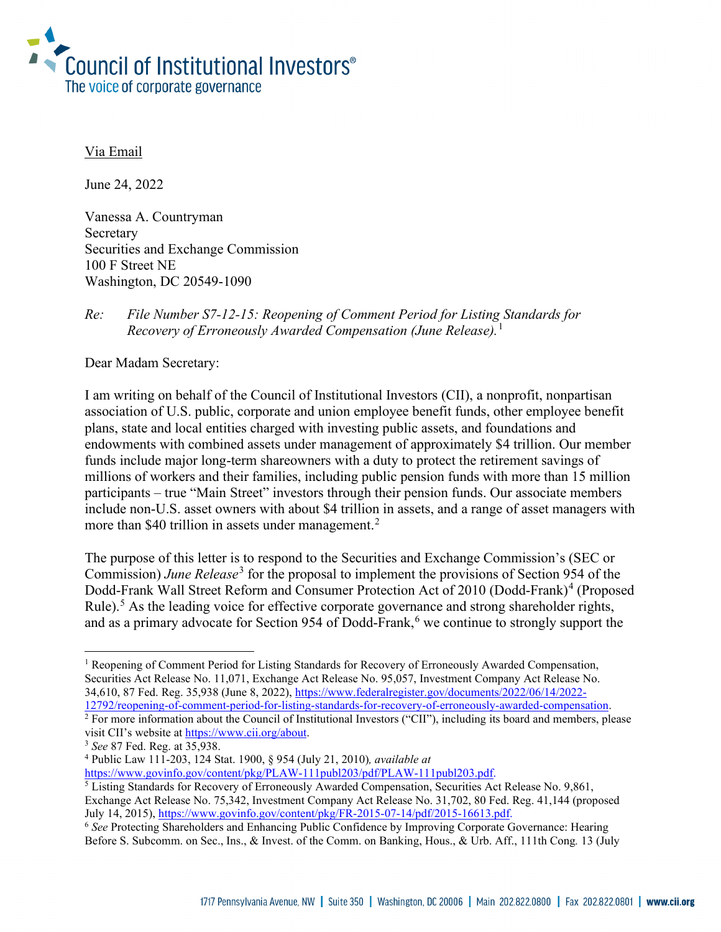

#### Via Email

June 24, 2022

Vanessa A. Countryman Secretary Securities and Exchange Commission 100 F Street NE Washington, DC 20549-1090

## *Re: File Number S7-12-15: Reopening of Comment Period for Listing Standards for Recovery of Erroneously Awarded Compensation (June Release).*[1](#page-0-0)

Dear Madam Secretary:

I am writing on behalf of the Council of Institutional Investors (CII), a nonprofit, nonpartisan association of U.S. public, corporate and union employee benefit funds, other employee benefit plans, state and local entities charged with investing public assets, and foundations and endowments with combined assets under management of approximately \$4 trillion. Our member funds include major long-term shareowners with a duty to protect the retirement savings of millions of workers and their families, including public pension funds with more than 15 million participants – true "Main Street" investors through their pension funds. Our associate members include non-U.S. asset owners with about \$4 trillion in assets, and a range of asset managers with more than \$40 trillion in assets under management.<sup>[2](#page-0-1)</sup>

The purpose of this letter is to respond to the Securities and Exchange Commission's (SEC or Commission) *June Release*[3](#page-0-2) for the proposal to implement the provisions of Section 954 of the Dodd-Frank Wall Street Reform and Consumer Protection Act of 2010 (Dodd-Frank)<sup>[4](#page-0-3)</sup> (Proposed Rule).<sup>[5](#page-0-4)</sup> As the leading voice for effective corporate governance and strong shareholder rights, and as a primary advocate for Section 954 of Dodd-Frank, $<sup>6</sup>$  $<sup>6</sup>$  $<sup>6</sup>$  we continue to strongly support the</sup>

<span id="page-0-0"></span><sup>&</sup>lt;sup>1</sup> Reopening of Comment Period for Listing Standards for Recovery of Erroneously Awarded Compensation, Securities Act Release No. 11,071, Exchange Act Release No. 95,057, Investment Company Act Release No. 34,610, 87 Fed. Reg. 35,938 (June 8, 2022)[, https://www.federalregister.gov/documents/2022/06/14/2022-](https://www.federalregister.gov/documents/2022/06/14/2022-12792/reopening-of-comment-period-for-listing-standards-for-recovery-of-erroneously-awarded-compensation)<br>12792/reopening-of-comment-period-for-listing-standards-for-recovery-of-erroneously-awarded-compensation.

<span id="page-0-1"></span><sup>&</sup>lt;sup>2</sup> For more information about the Council of Institutional Investors ("CII"), including its board and members, please visit CII's website at [https://www.cii.org/about.](https://www.cii.org/about) 3 *See* <sup>87</sup> Fed. Reg. at 35,938.

<span id="page-0-2"></span>

<span id="page-0-3"></span><sup>4</sup> Public Law 111-203, 124 Stat. 1900, § 954 (July 21, 2010)*, available at* 

<span id="page-0-4"></span> $5$  Listing Standards for Recovery of Erroneously Awarded Compensation, Securities Act Release No. 9,861, Exchange Act Release No. 75,342, Investment Company Act Release No. 31,702, 80 Fed. Reg. 41,144 (proposed July 14, 2015)[, https://www.govinfo.gov/content/pkg/FR-2015-07-14/pdf/2015-16613.pdf.](https://www.govinfo.gov/content/pkg/FR-2015-07-14/pdf/2015-16613.pdf)

<span id="page-0-5"></span><sup>6</sup> *See* Protecting Shareholders and Enhancing Public Confidence by Improving Corporate Governance: Hearing Before S. Subcomm. on Sec., Ins., & Invest. of the Comm. on Banking, Hous., & Urb. Aff., 111th Cong*.* 13 (July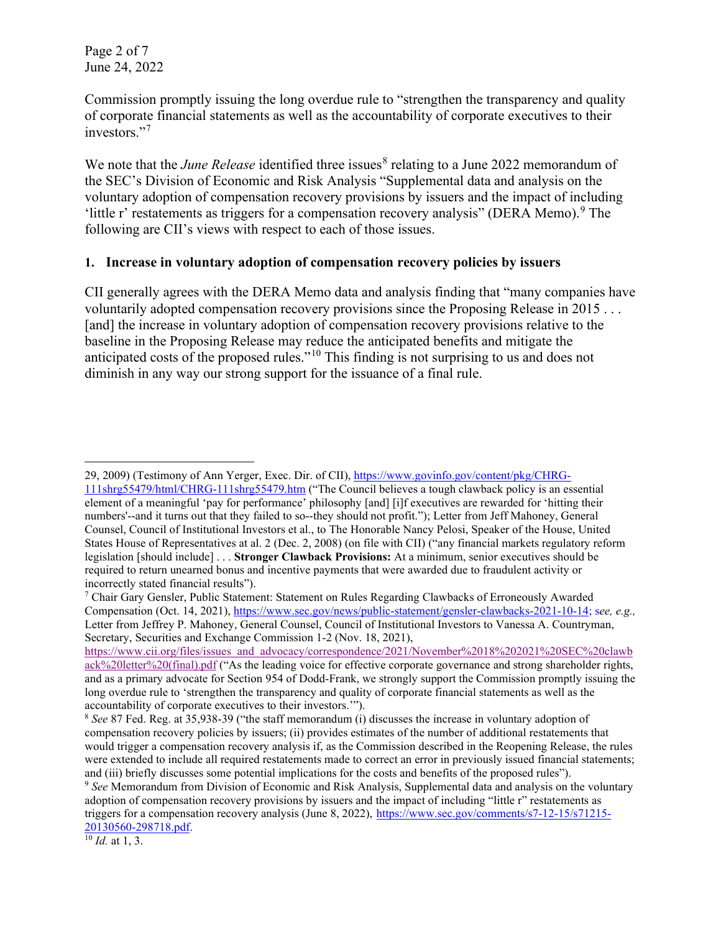Page 2 of 7 June 24, 2022

Commission promptly issuing the long overdue rule to "strengthen the transparency and quality of corporate financial statements as well as the accountability of corporate executives to their investors."<sup>[7](#page-1-0)</sup>

We note that the *June Release* identified three issues<sup>[8](#page-1-1)</sup> relating to a June 2022 memorandum of the SEC's Division of Economic and Risk Analysis "Supplemental data and analysis on the voluntary adoption of compensation recovery provisions by issuers and the impact of including 'little r' restatements as triggers for a compensation recovery analysis" (DERA Memo). <sup>[9](#page-1-2)</sup> The following are CII's views with respect to each of those issues.

#### **1. Increase in voluntary adoption of compensation recovery policies by issuers**

CII generally agrees with the DERA Memo data and analysis finding that "many companies have voluntarily adopted compensation recovery provisions since the Proposing Release in 2015 . . . [and] the increase in voluntary adoption of compensation recovery provisions relative to the baseline in the Proposing Release may reduce the anticipated benefits and mitigate the anticipated costs of the proposed rules."[10](#page-1-3) This finding is not surprising to us and does not diminish in any way our strong support for the issuance of a final rule.

<span id="page-1-3"></span>

<sup>29, 2009) (</sup>Testimony of Ann Yerger, Exec. Dir. of CII), [https://www.govinfo.gov/content/pkg/CHRG-](https://www.govinfo.gov/content/pkg/CHRG-111shrg55479/html/CHRG-111shrg55479.htm)[111shrg55479/html/CHRG-111shrg55479.htm](https://www.govinfo.gov/content/pkg/CHRG-111shrg55479/html/CHRG-111shrg55479.htm) ("The Council believes a tough clawback policy is an essential element of a meaningful 'pay for performance' philosophy [and] [i]f executives are rewarded for 'hitting their numbers'--and it turns out that they failed to so--they should not profit."); Letter from Jeff Mahoney, General Counsel, Council of Institutional Investors et al., to The Honorable Nancy Pelosi, Speaker of the House, United States House of Representatives at al. 2 (Dec. 2, 2008) (on file with CII) ("any financial markets regulatory reform legislation [should include] . . . **Stronger Clawback Provisions:** At a minimum, senior executives should be required to return unearned bonus and incentive payments that were awarded due to fraudulent activity or incorrectly stated financial results").

<span id="page-1-0"></span> $7$  Chair Gary Gensler, Public Statement: Statement on Rules Regarding Clawbacks of Erroneously Awarded Compensation (Oct. 14, 2021), [https://www.sec.gov/news/public-statement/gensler-clawbacks-2021-10-14;](https://www.sec.gov/news/public-statement/gensler-clawbacks-2021-10-14) s*ee, e.g.,*  Letter from Jeffrey P. Mahoney, General Counsel, Council of Institutional Investors to Vanessa A. Countryman, Secretary, Securities and Exchange Commission 1-2 (Nov. 18, 2021),

[https://www.cii.org/files/issues\\_and\\_advocacy/correspondence/2021/November%2018%202021%20SEC%20clawb](https://www.cii.org/files/issues_and_advocacy/correspondence/2021/November%2018%202021%20SEC%20clawback%20letter%20(final).pdf) [ack%20letter%20\(final\).pdf](https://www.cii.org/files/issues_and_advocacy/correspondence/2021/November%2018%202021%20SEC%20clawback%20letter%20(final).pdf) ("As the leading voice for effective corporate governance and strong shareholder rights, and as a primary advocate for Section 954 of Dodd-Frank, we strongly support the Commission promptly issuing the long overdue rule to 'strengthen the transparency and quality of corporate financial statements as well as the accountability of corporate executives to their investors."").<br><sup>8</sup> *See* 87 Fed. Reg. at 35,938-39 ("the staff memorandum (i) discusses the increase in voluntary adoption of

<span id="page-1-1"></span>compensation recovery policies by issuers; (ii) provides estimates of the number of additional restatements that would trigger a compensation recovery analysis if, as the Commission described in the Reopening Release, the rules were extended to include all required restatements made to correct an error in previously issued financial statements; and (iii) briefly discusses some potential implications for the costs and benefits of the proposed rules").

<span id="page-1-2"></span><sup>9</sup> *See* Memorandum from Division of Economic and Risk Analysis, Supplemental data and analysis on the voluntary adoption of compensation recovery provisions by issuers and the impact of including "little r" restatements as triggers for a compensation recovery analysis (June 8, 2022), [https://www.sec.gov/comments/s7-12-15/s71215-](https://www.sec.gov/comments/s7-12-15/s71215-20130560-298718.pdf) [20130560-298718.pdf.](https://www.sec.gov/comments/s7-12-15/s71215-20130560-298718.pdf) 10 *Id.* at 1, 3.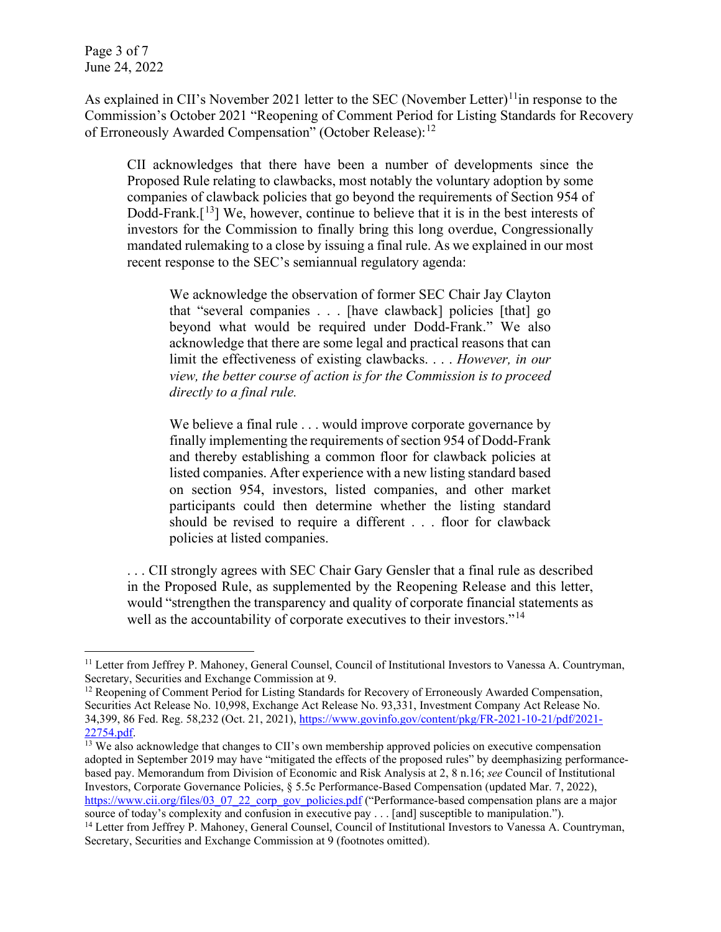Page 3 of 7 June 24, 2022

As explained in CII's November 2021 letter to the SEC (November Letter)<sup>[11](#page-2-0)</sup>in response to the Commission's October 2021 "Reopening of Comment Period for Listing Standards for Recovery of Erroneously Awarded Compensation" (October Release):<sup>[12](#page-2-1)</sup>

CII acknowledges that there have been a number of developments since the Proposed Rule relating to clawbacks, most notably the voluntary adoption by some companies of clawback policies that go beyond the requirements of Section 954 of Dodd-Frank.<sup>[[13](#page-2-2)</sup>] We, however, continue to believe that it is in the best interests of investors for the Commission to finally bring this long overdue, Congressionally mandated rulemaking to a close by issuing a final rule. As we explained in our most recent response to the SEC's semiannual regulatory agenda:

We acknowledge the observation of former SEC Chair Jay Clayton that "several companies . . . [have clawback] policies [that] go beyond what would be required under Dodd-Frank." We also acknowledge that there are some legal and practical reasons that can limit the effectiveness of existing clawbacks. . . . *However, in our view, the better course of action is for the Commission is to proceed directly to a final rule.* 

We believe a final rule . . . would improve corporate governance by finally implementing the requirements of section 954 of Dodd-Frank and thereby establishing a common floor for clawback policies at listed companies. After experience with a new listing standard based on section 954, investors, listed companies, and other market participants could then determine whether the listing standard should be revised to require a different . . . floor for clawback policies at listed companies.

. . . CII strongly agrees with SEC Chair Gary Gensler that a final rule as described in the Proposed Rule, as supplemented by the Reopening Release and this letter, would "strengthen the transparency and quality of corporate financial statements as well as the accountability of corporate executives to their investors."<sup>[14](#page-2-3)</sup>

<span id="page-2-2"></span> $\frac{13}{13}$  We also acknowledge that changes to CII's own membership approved policies on executive compensation adopted in September 2019 may have "mitigated the effects of the proposed rules" by deemphasizing performancebased pay. Memorandum from Division of Economic and Risk Analysis at 2, 8 n.16; *see* Council of Institutional Investors, Corporate Governance Policies, § 5.5c Performance-Based Compensation (updated Mar. 7, 2022), [https://www.cii.org/files/03\\_07\\_22\\_corp\\_gov\\_policies.pdf](https://www.cii.org/files/03_07_22_corp_gov_policies.pdf) ("Performance-based compensation plans are a major source of today's complexity and confusion in executive pay . . . [and] susceptible to manipulation.").

<span id="page-2-0"></span><sup>&</sup>lt;sup>11</sup> Letter from Jeffrey P. Mahoney, General Counsel, Council of Institutional Investors to Vanessa A. Countryman, Secretary, Securities and Exchange Commission at 9.<br><sup>12</sup> Reopening of Comment Period for Listing Standards for Recovery of Erroneously Awarded Compensation,

<span id="page-2-1"></span>Securities Act Release No. 10,998, Exchange Act Release No. 93,331, Investment Company Act Release No. 34,399, 86 Fed. Reg. 58,232 (Oct. 21, 2021), [https://www.govinfo.gov/content/pkg/FR-2021-10-21/pdf/2021-](https://www.govinfo.gov/content/pkg/FR-2021-10-21/pdf/2021-%2022754.pdf)22754.pdf.

<span id="page-2-3"></span><sup>&</sup>lt;sup>14</sup> Letter from Jeffrey P. Mahoney, General Counsel, Council of Institutional Investors to Vanessa A. Countryman, Secretary, Securities and Exchange Commission at 9 (footnotes omitted).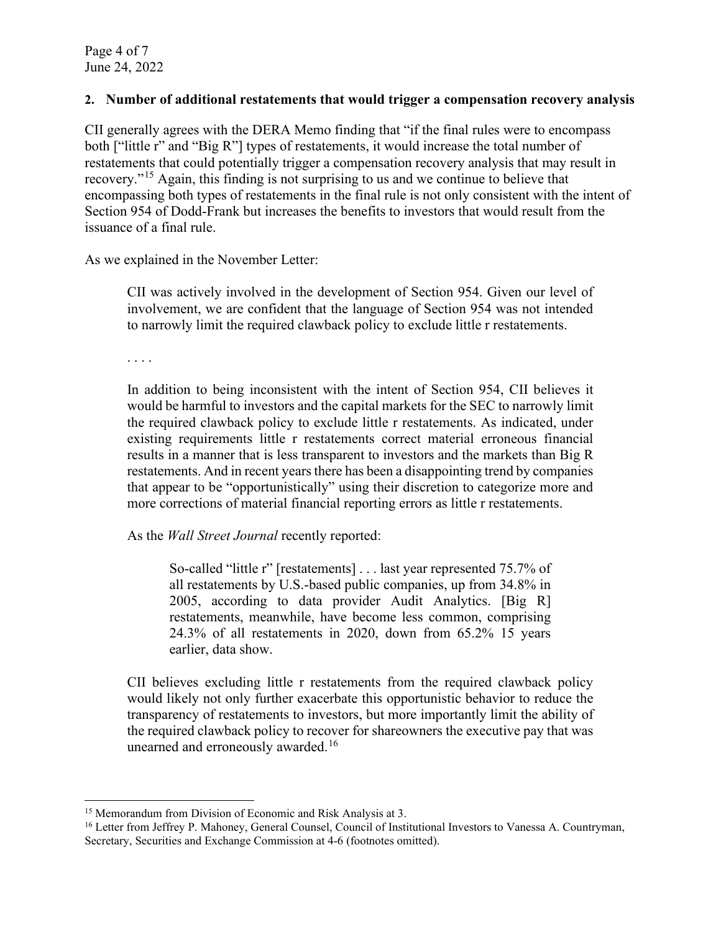Page 4 of 7 June 24, 2022

### **2. Number of additional restatements that would trigger a compensation recovery analysis**

CII generally agrees with the DERA Memo finding that "if the final rules were to encompass both ["little r" and "Big R"] types of restatements, it would increase the total number of restatements that could potentially trigger a compensation recovery analysis that may result in recovery."[15](#page-3-0) Again, this finding is not surprising to us and we continue to believe that encompassing both types of restatements in the final rule is not only consistent with the intent of Section 954 of Dodd-Frank but increases the benefits to investors that would result from the issuance of a final rule.

As we explained in the November Letter:

CII was actively involved in the development of Section 954. Given our level of involvement, we are confident that the language of Section 954 was not intended to narrowly limit the required clawback policy to exclude little r restatements.

. . . .

In addition to being inconsistent with the intent of Section 954, CII believes it would be harmful to investors and the capital markets for the SEC to narrowly limit the required clawback policy to exclude little r restatements. As indicated, under existing requirements little r restatements correct material erroneous financial results in a manner that is less transparent to investors and the markets than Big R restatements. And in recent years there has been a disappointing trend by companies that appear to be "opportunistically" using their discretion to categorize more and more corrections of material financial reporting errors as little r restatements.

As the *Wall Street Journal* recently reported:

So-called "little r" [restatements] . . . last year represented 75.7% of all restatements by U.S.-based public companies, up from 34.8% in 2005, according to data provider Audit Analytics. [Big R] restatements, meanwhile, have become less common, comprising 24.3% of all restatements in 2020, down from 65.2% 15 years earlier, data show.

CII believes excluding little r restatements from the required clawback policy would likely not only further exacerbate this opportunistic behavior to reduce the transparency of restatements to investors, but more importantly limit the ability of the required clawback policy to recover for shareowners the executive pay that was unearned and erroneously awarded.<sup>[16](#page-3-1)</sup>

<span id="page-3-0"></span><sup>&</sup>lt;sup>15</sup> Memorandum from Division of Economic and Risk Analysis at 3.

<span id="page-3-1"></span><sup>&</sup>lt;sup>16</sup> Letter from Jeffrey P. Mahoney, General Counsel, Council of Institutional Investors to Vanessa A. Countryman, Secretary, Securities and Exchange Commission at 4-6 (footnotes omitted).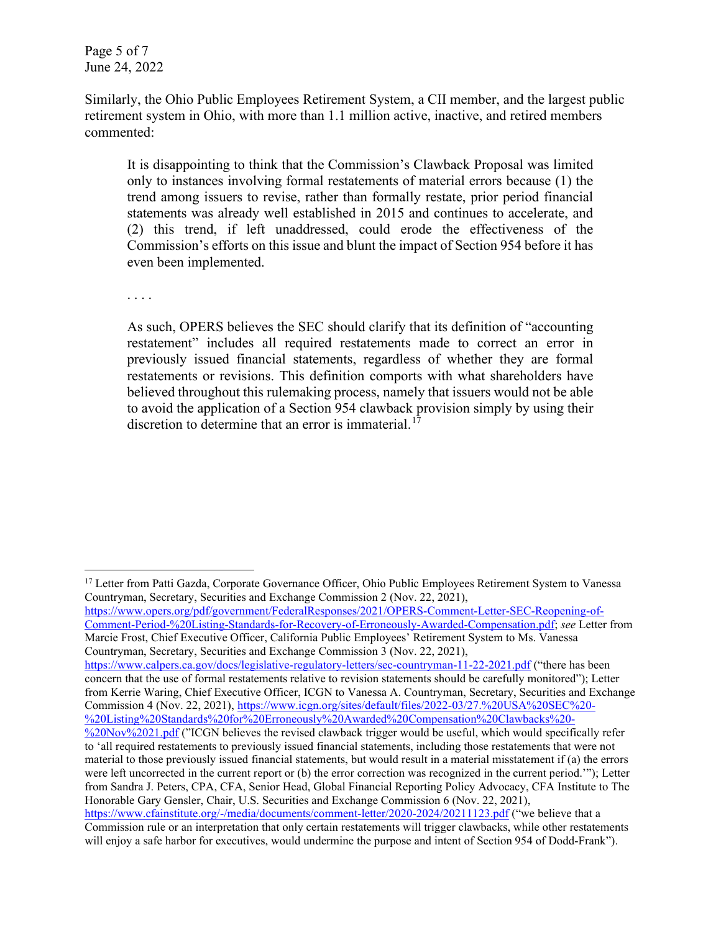Page 5 of 7 June 24, 2022

Similarly, the Ohio Public Employees Retirement System, a CII member, and the largest public retirement system in Ohio, with more than 1.1 million active, inactive, and retired members commented:

It is disappointing to think that the Commission's Clawback Proposal was limited only to instances involving formal restatements of material errors because (1) the trend among issuers to revise, rather than formally restate, prior period financial statements was already well established in 2015 and continues to accelerate, and (2) this trend, if left unaddressed, could erode the effectiveness of the Commission's efforts on this issue and blunt the impact of Section 954 before it has even been implemented.

. . . .

As such, OPERS believes the SEC should clarify that its definition of "accounting restatement" includes all required restatements made to correct an error in previously issued financial statements, regardless of whether they are formal restatements or revisions. This definition comports with what shareholders have believed throughout this rulemaking process, namely that issuers would not be able to avoid the application of a Section 954 clawback provision simply by using their discretion to determine that an error is immaterial.<sup>[17](#page-4-0)</sup>

[https://www.opers.org/pdf/government/FederalResponses/2021/OPERS-Comment-Letter-SEC-Reopening-of-](https://www.opers.org/pdf/government/FederalResponses/2021/OPERS-Comment-Letter-SEC-Reopening-of-Comment-Period-%20Listing-Standards-for-Recovery-of-Erroneously-Awarded-Compensation.pdf)[Comment-Period-%20Listing-Standards-for-Recovery-of-Erroneously-Awarded-Compensation.pdf;](https://www.opers.org/pdf/government/FederalResponses/2021/OPERS-Comment-Letter-SEC-Reopening-of-Comment-Period-%20Listing-Standards-for-Recovery-of-Erroneously-Awarded-Compensation.pdf) *see* Letter from Marcie Frost, Chief Executive Officer, California Public Employees' Retirement System to Ms. Vanessa Countryman, Secretary, Securities and Exchange Commission 3 (Nov. 22, 2021),

<https://www.calpers.ca.gov/docs/legislative-regulatory-letters/sec-countryman-11-22-2021.pdf> ("there has been concern that the use of formal restatements relative to revision statements should be carefully monitored"); Letter from Kerrie Waring, Chief Executive Officer, ICGN to Vanessa A. Countryman, Secretary, Securities and Exchange Commission 4 (Nov. 22, 2021), [https://www.icgn.org/sites/default/files/2022-03/27.%20USA%20SEC%20-](https://www.icgn.org/sites/default/files/2022-03/27.%20USA%20SEC%20-%20Listing%20Standards%20for%20Erroneously%20Awarded%20Compensation%20Clawbacks%20-%20Nov%2021.pdf) [%20Listing%20Standards%20for%20Erroneously%20Awarded%20Compensation%20Clawbacks%20-](https://www.icgn.org/sites/default/files/2022-03/27.%20USA%20SEC%20-%20Listing%20Standards%20for%20Erroneously%20Awarded%20Compensation%20Clawbacks%20-%20Nov%2021.pdf)

will enjoy a safe harbor for executives, would undermine the purpose and intent of Section 954 of Dodd-Frank").

<span id="page-4-0"></span><sup>&</sup>lt;sup>17</sup> Letter from Patti Gazda, Corporate Governance Officer, Ohio Public Employees Retirement System to Vanessa Countryman, Secretary, Securities and Exchange Commission 2 (Nov. 22, 2021),

[<sup>%20</sup>Nov%2021.pdf](https://www.icgn.org/sites/default/files/2022-03/27.%20USA%20SEC%20-%20Listing%20Standards%20for%20Erroneously%20Awarded%20Compensation%20Clawbacks%20-%20Nov%2021.pdf) ("ICGN believes the revised clawback trigger would be useful, which would specifically refer to 'all required restatements to previously issued financial statements, including those restatements that were not material to those previously issued financial statements, but would result in a material misstatement if (a) the errors were left uncorrected in the current report or (b) the error correction was recognized in the current period.'"); Letter from Sandra J. Peters, CPA, CFA, Senior Head, Global Financial Reporting Policy Advocacy, CFA Institute to The Honorable Gary Gensler, Chair, U.S. Securities and Exchange Commission 6 (Nov. 22, 2021), <https://www.cfainstitute.org/-/media/documents/comment-letter/2020-2024/20211123.pdf> ("we believe that a Commission rule or an interpretation that only certain restatements will trigger clawbacks, while other restatements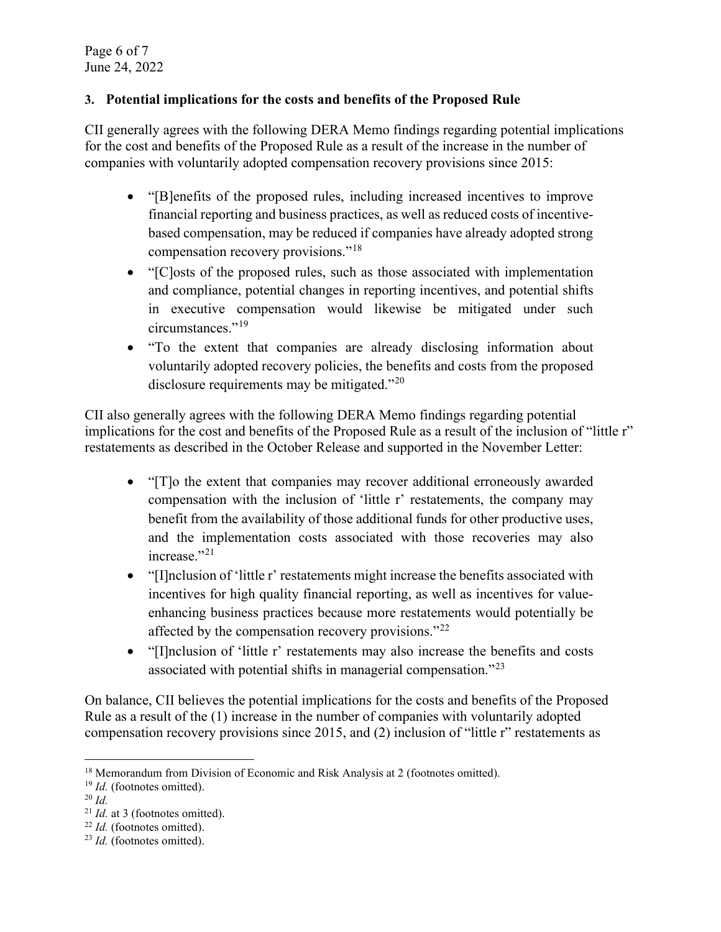Page 6 of 7 June 24, 2022

# **3. Potential implications for the costs and benefits of the Proposed Rule**

CII generally agrees with the following DERA Memo findings regarding potential implications for the cost and benefits of the Proposed Rule as a result of the increase in the number of companies with voluntarily adopted compensation recovery provisions since 2015:

- "[B]enefits of the proposed rules, including increased incentives to improve financial reporting and business practices, as well as reduced costs of incentivebased compensation, may be reduced if companies have already adopted strong compensation recovery provisions."[18](#page-5-0)
- "[C]osts of the proposed rules, such as those associated with implementation and compliance, potential changes in reporting incentives, and potential shifts in executive compensation would likewise be mitigated under such circumstances."<sup>[19](#page-5-1)</sup>
- "To the extent that companies are already disclosing information about voluntarily adopted recovery policies, the benefits and costs from the proposed disclosure requirements may be mitigated."<sup>[20](#page-5-2)</sup>

CII also generally agrees with the following DERA Memo findings regarding potential implications for the cost and benefits of the Proposed Rule as a result of the inclusion of "little r" restatements as described in the October Release and supported in the November Letter:

- "[T]o the extent that companies may recover additional erroneously awarded compensation with the inclusion of 'little r' restatements, the company may benefit from the availability of those additional funds for other productive uses, and the implementation costs associated with those recoveries may also increase."<sup>[21](#page-5-3)</sup>
- "[I]nclusion of 'little r' restatements might increase the benefits associated with incentives for high quality financial reporting, as well as incentives for valueenhancing business practices because more restatements would potentially be affected by the compensation recovery provisions."<sup>[22](#page-5-4)</sup>
- "[I]nclusion of 'little r' restatements may also increase the benefits and costs associated with potential shifts in managerial compensation."<sup>[23](#page-5-5)</sup>

On balance, CII believes the potential implications for the costs and benefits of the Proposed Rule as a result of the (1) increase in the number of companies with voluntarily adopted compensation recovery provisions since 2015, and (2) inclusion of "little r" restatements as

<span id="page-5-0"></span><sup>&</sup>lt;sup>18</sup> Memorandum from Division of Economic and Risk Analysis at 2 (footnotes omitted).

<span id="page-5-1"></span><sup>&</sup>lt;sup>19</sup> *Id.* (footnotes omitted). <sup>20</sup> *Id.* 

<span id="page-5-2"></span>

<span id="page-5-3"></span><sup>21</sup> *Id.* at 3 (footnotes omitted). 22 *Id.* (footnotes omitted). 23 *Id.* (footnotes omitted).

<span id="page-5-4"></span>

<span id="page-5-5"></span>